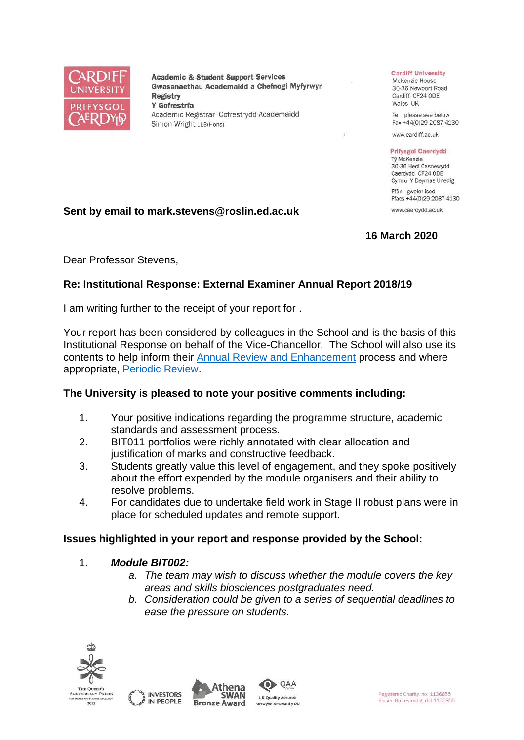

**Academic & Student Support Services** Gwasanaethau Academaidd a Chefnogi Myfyrwyr **Registry** Y Gofrestrfa Academic Registrar Cofrestrydd Academaidd Simon Wright LLB(Hons)

#### **Cardiff University**

McKenzie House 30-36 Newport Road Cardiff CF24 ODE Wales UK

Tel please see below Fax +44(0)29 2087 4130

www.cardiff.ac.uk

#### **Prifysgol Caerdydd**

Tỷ McKenzie 30-36 Heol Casnewydd Caerdydd CF24 ODE Cymru Y Deyrnas Unedig

Ffôn gweler isod Ffacs +44(0)29 2087 4130 www.caerdydd.ac.uk

#### **Sent by email to mark.stevens@roslin.ed.ac.uk**

# **16 March 2020**

Dear Professor Stevens,

## **Re: Institutional Response: External Examiner Annual Report 2018/19**

I am writing further to the receipt of your report for .

Your report has been considered by colleagues in the School and is the basis of this Institutional Response on behalf of the Vice-Chancellor. The School will also use its contents to help inform their [Annual Review and Enhancement](https://www.cardiff.ac.uk/public-information/quality-and-standards/monitoring-and-review/annual-review-and-enhancement) process and where appropriate, [Periodic Review.](http://www.cardiff.ac.uk/public-information/quality-and-standards/monitoring-and-review/periodic-review)

## **The University is pleased to note your positive comments including:**

- 1. Your positive indications regarding the programme structure, academic standards and assessment process.
- 2. BIT011 portfolios were richly annotated with clear allocation and justification of marks and constructive feedback.
- 3. Students greatly value this level of engagement, and they spoke positively about the effort expended by the module organisers and their ability to resolve problems.
- 4. For candidates due to undertake field work in Stage II robust plans were in place for scheduled updates and remote support.

## **Issues highlighted in your report and response provided by the School:**

#### 1. *Module BIT002:*

- *a. The team may wish to discuss whether the module covers the key areas and skills biosciences postgraduates need.*
- *b. Consideration could be given to a series of sequential deadlines to ease the pressure on students.*





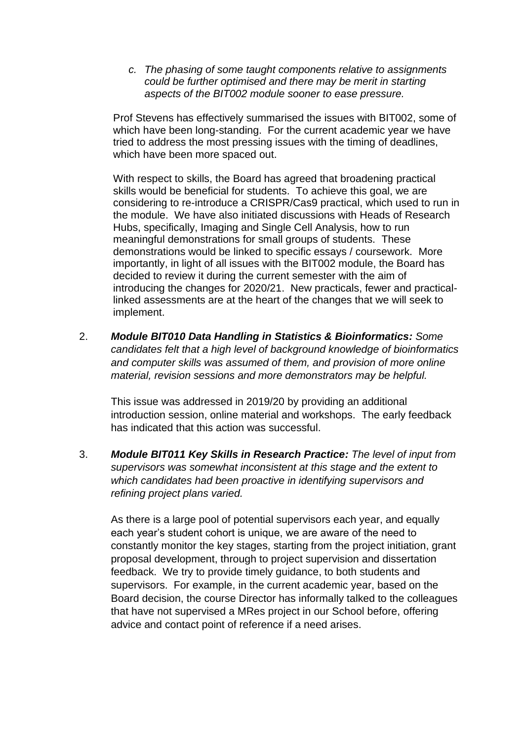*c. The phasing of some taught components relative to assignments could be further optimised and there may be merit in starting aspects of the BIT002 module sooner to ease pressure.*

Prof Stevens has effectively summarised the issues with BIT002, some of which have been long-standing. For the current academic year we have tried to address the most pressing issues with the timing of deadlines, which have been more spaced out.

With respect to skills, the Board has agreed that broadening practical skills would be beneficial for students. To achieve this goal, we are considering to re-introduce a CRISPR/Cas9 practical, which used to run in the module. We have also initiated discussions with Heads of Research Hubs, specifically, Imaging and Single Cell Analysis, how to run meaningful demonstrations for small groups of students. These demonstrations would be linked to specific essays / coursework. More importantly, in light of all issues with the BIT002 module, the Board has decided to review it during the current semester with the aim of introducing the changes for 2020/21. New practicals, fewer and practicallinked assessments are at the heart of the changes that we will seek to implement.

2. *Module BIT010 Data Handling in Statistics & Bioinformatics: Some candidates felt that a high level of background knowledge of bioinformatics and computer skills was assumed of them, and provision of more online material, revision sessions and more demonstrators may be helpful.*

This issue was addressed in 2019/20 by providing an additional introduction session, online material and workshops. The early feedback has indicated that this action was successful.

3. *Module BIT011 Key Skills in Research Practice: The level of input from supervisors was somewhat inconsistent at this stage and the extent to which candidates had been proactive in identifying supervisors and refining project plans varied.*

As there is a large pool of potential supervisors each year, and equally each year's student cohort is unique, we are aware of the need to constantly monitor the key stages, starting from the project initiation, grant proposal development, through to project supervision and dissertation feedback. We try to provide timely guidance, to both students and supervisors. For example, in the current academic year, based on the Board decision, the course Director has informally talked to the colleagues that have not supervised a MRes project in our School before, offering advice and contact point of reference if a need arises.